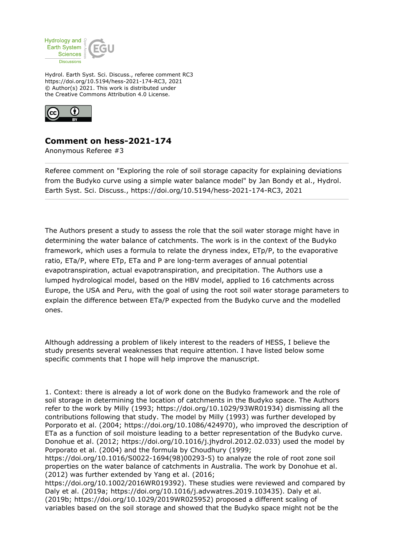

Hydrol. Earth Syst. Sci. Discuss., referee comment RC3 https://doi.org/10.5194/hess-2021-174-RC3, 2021 © Author(s) 2021. This work is distributed under the Creative Commons Attribution 4.0 License.



## **Comment on hess-2021-174**

Anonymous Referee #3

Referee comment on "Exploring the role of soil storage capacity for explaining deviations from the Budyko curve using a simple water balance model" by Jan Bondy et al., Hydrol. Earth Syst. Sci. Discuss., https://doi.org/10.5194/hess-2021-174-RC3, 2021

The Authors present a study to assess the role that the soil water storage might have in determining the water balance of catchments. The work is in the context of the Budyko framework, which uses a formula to relate the dryness index, ETp/P, to the evaporative ratio, ETa/P, where ETp, ETa and P are long-term averages of annual potential evapotranspiration, actual evapotranspiration, and precipitation. The Authors use a lumped hydrological model, based on the HBV model, applied to 16 catchments across Europe, the USA and Peru, with the goal of using the root soil water storage parameters to explain the difference between ETa/P expected from the Budyko curve and the modelled ones.

Although addressing a problem of likely interest to the readers of HESS, I believe the study presents several weaknesses that require attention. I have listed below some specific comments that I hope will help improve the manuscript.

1. Context: there is already a lot of work done on the Budyko framework and the role of soil storage in determining the location of catchments in the Budyko space. The Authors refer to the work by Milly (1993; https://doi.org/10.1029/93WR01934) dismissing all the contributions following that study. The model by Milly (1993) was further developed by Porporato et al. (2004; https://doi.org/10.1086/424970), who improved the description of ETa as a function of soil moisture leading to a better representation of the Budyko curve. Donohue et al. (2012; https://doi.org/10.1016/j.jhydrol.2012.02.033) used the model by Porporato et al. (2004) and the formula by Choudhury (1999;

https://doi.org/10.1016/S0022-1694(98)00293-5) to analyze the role of root zone soil properties on the water balance of catchments in Australia. The work by Donohue et al. (2012) was further extended by Yang et al. (2016;

https://doi.org/10.1002/2016WR019392). These studies were reviewed and compared by Daly et al. (2019a; https://doi.org/10.1016/j.advwatres.2019.103435). Daly et al. (2019b; https://doi.org/10.1029/2019WR025952) proposed a different scaling of variables based on the soil storage and showed that the Budyko space might not be the